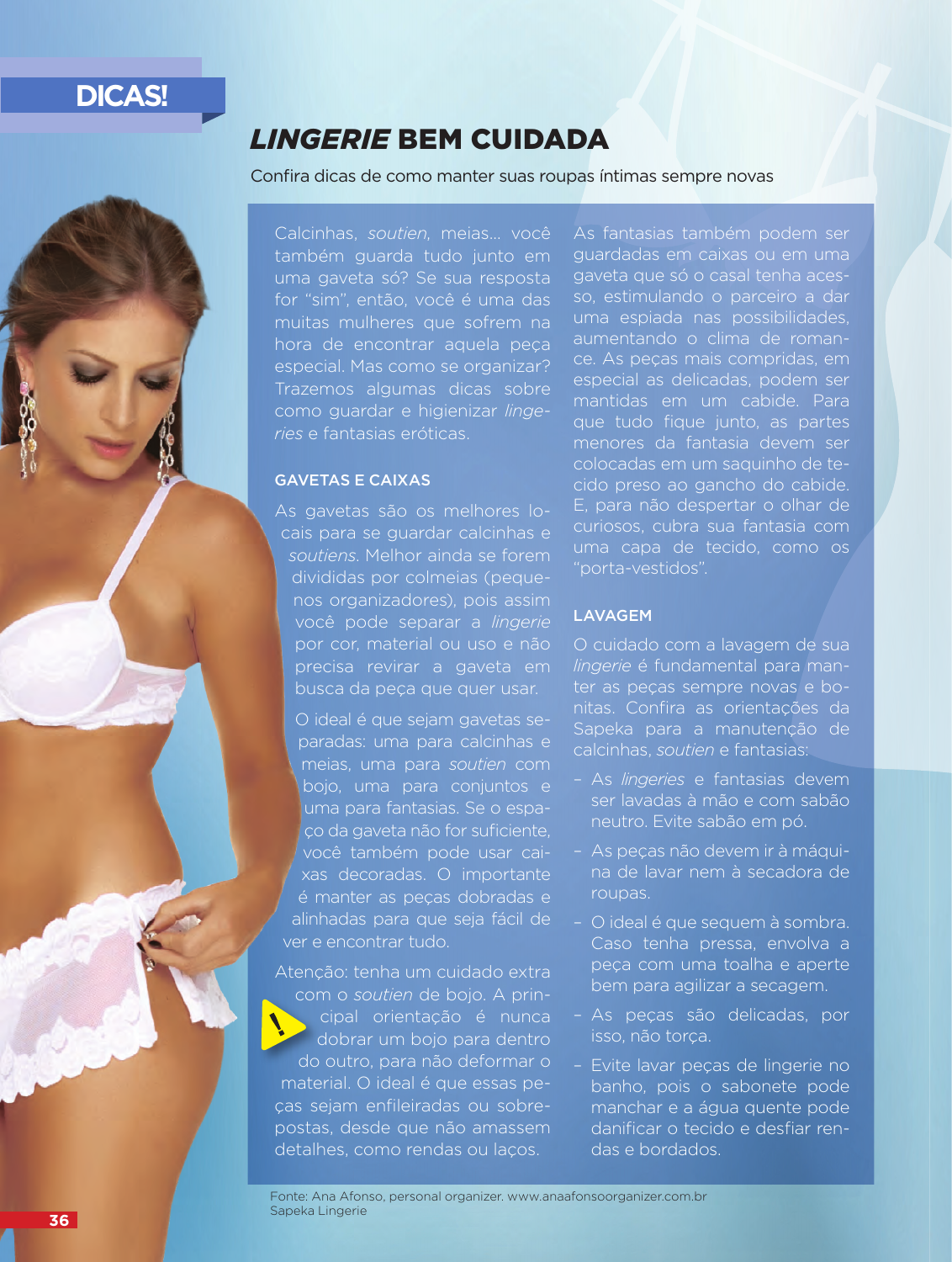# **DICAS!**

## *LINGERIE* BEM CUIDADA

### Confira dicas de como manter suas roupas íntimas sempre novas

Calcinhas, *soutien*, meias... você também guarda tudo junto em uma gaveta só? Se sua resposta for "sim", então, você é uma das muitas mulheres que sofrem na hora de encontrar aquela peça especial. Mas como se organizar? Trazemos algumas dicas sobre como guardar e higienizar *lingeries* e fantasias eróticas.

### GAVETAS E CAIXAS

As gavetas são os melhores locais para se guardar calcinhas e *soutiens*. Melhor ainda se forem divididas por colmeias (pequenos organizadores), pois assim você pode separar a *lingerie* por cor, material ou uso e não precisa revirar a gaveta em busca da peça que quer usar.

O ideal é que sejam gavetas separadas: uma para calcinhas e meias, uma para *soutien* com bojo, uma para conjuntos e uma para fantasias. Se o espaço da gaveta não for suficiente, você também pode usar caixas decoradas. O importante é manter as peças dobradas e alinhadas para que seja fácil de ver e encontrar tudo.

Atenção: tenha um cuidado extra com o *soutien* de bojo. A principal orientação é nunca dobrar um bojo para dentro do outro, para não deformar o material. O ideal é que essas peças sejam enfileiradas ou sobrepostas, desde que não amassem detalhes, como rendas ou laços.

As fantasias também podem ser guardadas em caixas ou em uma gaveta que só o casal tenha acesso, estimulando o parceiro a dar uma espiada nas possibilidades, aumentando o clima de romance. As peças mais compridas, em especial as delicadas, podem ser mantidas em um cabide. Para que tudo fique junto, as partes menores da fantasia devem ser colocadas em um saquinho de tecido preso ao gancho do cabide. E, para não despertar o olhar de curiosos, cubra sua fantasia com uma capa de tecido, como os "porta-vestidos".

### LAVAGEM

O cuidado com a lavagem de sua *lingerie* é fundamental para manter as peças sempre novas e bonitas. Confira as orientações da Sapeka para a manutenção de calcinhas, *soutien* e fantasias:

- As *lingeries* e fantasias devem ser lavadas à mão e com sabão neutro. Evite sabão em pó.
- As peças não devem ir à máquina de lavar nem à secadora de roupas.
- O ideal é que sequem à sombra. Caso tenha pressa, envolva a peça com uma toalha e aperte bem para agilizar a secagem.
- As peças são delicadas, por isso, não torça.
- Evite lavar peças de lingerie no banho, pois o sabonete pode manchar e a água quente pode danificar o tecido e desfiar rendas e bordados.

Fonte: Ana Afonso, personal organizer. www.anaafonsoorganizer.com.br Sapeka Lingerie